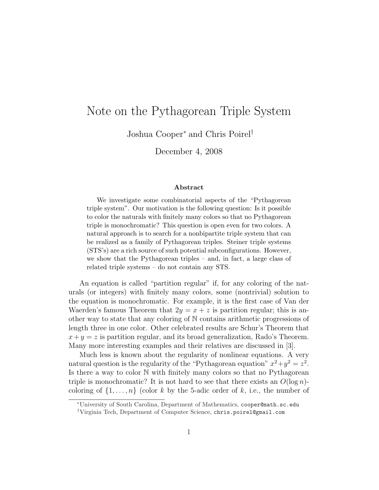# Note on the Pythagorean Triple System

Joshua Cooper<sup>∗</sup> and Chris Poirel†

December 4, 2008

#### Abstract

We investigate some combinatorial aspects of the "Pythagorean triple system". Our motivation is the following question: Is it possible to color the naturals with finitely many colors so that no Pythagorean triple is monochromatic? This question is open even for two colors. A natural approach is to search for a nonbipartite triple system that can be realized as a family of Pythagorean triples. Steiner triple systems (STS's) are a rich source of such potential subconfigurations. However, we show that the Pythagorean triples – and, in fact, a large class of related triple systems – do not contain any STS.

An equation is called "partition regular" if, for any coloring of the naturals (or integers) with finitely many colors, some (nontrivial) solution to the equation is monochromatic. For example, it is the first case of Van der Waerden's famous Theorem that  $2y = x + z$  is partition regular; this is another way to state that any coloring of N contains arithmetic progressions of length three in one color. Other celebrated results are Schur's Theorem that  $x+y=z$  is partition regular, and its broad generalization, Rado's Theorem. Many more interesting examples and their relatives are discussed in [3].

Much less is known about the regularity of nonlinear equations. A very natural question is the regularity of the "Pythagorean equation"  $x^2 + y^2 = z^2$ . Is there a way to color N with finitely many colors so that no Pythagorean triple is monochromatic? It is not hard to see that there exists an  $O(\log n)$ coloring of  $\{1, \ldots, n\}$  (color k by the 5-adic order of k, i.e., the number of

<sup>∗</sup>University of South Carolina, Department of Mathematics, cooper@math.sc.edu

<sup>†</sup>Virginia Tech, Department of Computer Science, chris.poirel@gmail.com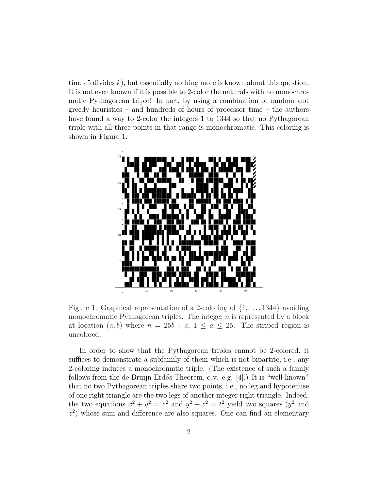times 5 divides  $k$ ), but essentially nothing more is known about this question. It is not even known if it is possible to 2-color the naturals with no monochromatic Pythagorean triple! In fact, by using a combination of random and greedy heuristics – and hundreds of hours of processor time – the authors have found a way to 2-color the integers 1 to 1344 so that no Pythagorean triple with all three points in that range is monochromatic. This coloring is shown in Figure 1.



Figure 1: Graphical representation of a 2-coloring of  $\{1, \ldots, 1344\}$  avoiding monochromatic Pythagorean triples. The integer  $n$  is represented by a block at location  $(a, b)$  where  $n = 25b + a, 1 \le a \le 25$ . The striped region is uncolored.

In order to show that the Pythagorean triples cannot be 2-colored, it suffices to demonstrate a subfamily of them which is not bipartite, i.e., any 2-coloring induces a monochromatic triple. (The existence of such a family follows from the de Bruijn-Erdős Theorem, q.v. e.g. [4].) It is "well known" that no two Pythagorean triples share two points, i.e., no leg and hypotenuse of one right triangle are the two legs of another integer right triangle. Indeed, the two equations  $x^2 + y^2 = z^2$  and  $y^2 + z^2 = t^2$  yield two squares  $(y^2$  and  $z<sup>2</sup>$ ) whose sum and difference are also squares. One can find an elementary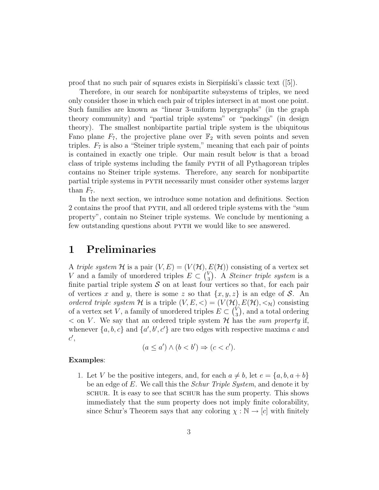proof that no such pair of squares exists in Sierpinski's classic text  $([5])$ .

Therefore, in our search for nonbipartite subsystems of triples, we need only consider those in which each pair of triples intersect in at most one point. Such families are known as "linear 3-uniform hypergraphs" (in the graph theory community) and "partial triple systems" or "packings" (in design theory). The smallest nonbipartite partial triple system is the ubiquitous Fano plane  $F_7$ , the projective plane over  $\mathbb{F}_2$  with seven points and seven triples.  $F_7$  is also a "Steiner triple system," meaning that each pair of points is contained in exactly one triple. Our main result below is that a broad class of triple systems including the family pyth of all Pythagorean triples contains no Steiner triple systems. Therefore, any search for nonbipartite partial triple systems in pyth necessarily must consider other systems larger than  $F_7$ .

In the next section, we introduce some notation and definitions. Section 2 contains the proof that pyth, and all ordered triple systems with the "sum property", contain no Steiner triple systems. We conclude by mentioning a few outstanding questions about PYTH we would like to see answered.

#### 1 Preliminaries

A triple system H is a pair  $(V, E) = (V(\mathcal{H}), E(\mathcal{H}))$  consisting of a vertex set V and a family of unordered triples  $E \subset \binom{V_{\alpha}}{2}$  $S_3$ ). A *Steiner triple system* is a finite partial triple system  $S$  on at least four vertices so that, for each pair of vertices x and y, there is some z so that  $\{x, y, z\}$  is an edge of S. An ordered triple system H is a triple  $(V, E, <) = (V(\mathcal{H}), E(\mathcal{H}), <_{\mathcal{H}})$  consisting of a vertex set V, a family of unordered triples  $E \subset {V_{\mathcal{A}}}$  $\binom{V}{3}$ , and a total ordering  $<$  on V. We say that an ordered triple system H has the sum property if, whenever  $\{a, b, c\}$  and  $\{a', b', c'\}$  are two edges with respective maxima c and  $c',$ 

$$
(a \le a') \land (b < b') \Rightarrow (c < c').
$$

#### Examples:

1. Let V be the positive integers, and, for each  $a \neq b$ , let  $e = \{a, b, a + b\}$ be an edge of E. We call this the *Schur Triple System*, and denote it by schur. It is easy to see that schurch has the sum property. This shows immediately that the sum property does not imply finite colorability, since Schur's Theorem says that any coloring  $\chi : \mathbb{N} \to [c]$  with finitely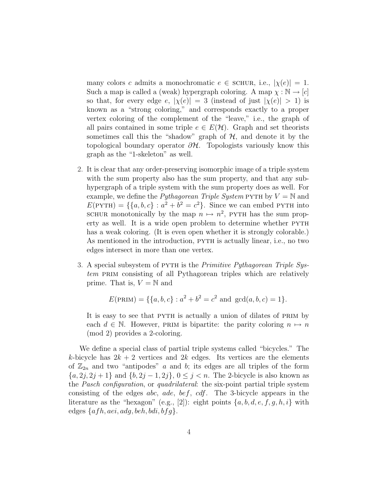many colors c admits a monochromatic  $e \in \text{SCHUR}$ , i.e.,  $|\chi(e)| = 1$ . Such a map is called a (weak) hypergraph coloring. A map  $\chi : \mathbb{N} \to [c]$ so that, for every edge e,  $|\chi(e)| = 3$  (instead of just  $|\chi(e)| > 1$ ) is known as a "strong coloring," and corresponds exactly to a proper vertex coloring of the complement of the "leave," i.e., the graph of all pairs contained in some triple  $e \in E(\mathcal{H})$ . Graph and set theorists sometimes call this the "shadow" graph of  $H$ , and denote it by the topological boundary operator  $\partial \mathcal{H}$ . Topologists variously know this graph as the "1-skeleton" as well.

- 2. It is clear that any order-preserving isomorphic image of a triple system with the sum property also has the sum property, and that any subhypergraph of a triple system with the sum property does as well. For example, we define the *Pythagorean Triple System* PYTH by  $V = N$  and  $E(PYTH) = \{\{a, b, c\} : a^2 + b^2 = c^2\}$ . Since we can embed PYTH into SCHUR monotonically by the map  $n \mapsto n^2$ , PYTH has the sum property as well. It is a wide open problem to determine whether PYTH has a weak coloring. (It is even open whether it is strongly colorable.) As mentioned in the introduction, PYTH is actually linear, i.e., no two edges intersect in more than one vertex.
- 3. A special subsystem of PYTH is the *Primitive Pythagorean Triple Sys*tem PRIM consisting of all Pythagorean triples which are relatively prime. That is,  $V = N$  and

$$
E(\text{PRIM}) = \{ \{a, b, c\} : a^2 + b^2 = c^2 \text{ and } \gcd(a, b, c) = 1 \}.
$$

It is easy to see that PYTH is actually a union of dilates of PRIM by each  $d \in \mathbb{N}$ . However, PRIM is bipartite: the parity coloring  $n \mapsto n$ (mod 2) provides a 2-coloring.

We define a special class of partial triple systems called "bicycles." The k-bicycle has  $2k + 2$  vertices and  $2k$  edges. Its vertices are the elements of  $\mathbb{Z}_{2n}$  and two "antipodes" a and b; its edges are all triples of the form  ${a, 2j, 2j + 1}$  and  ${b, 2j - 1, 2j}$ ,  $0 \le j < n$ . The 2-bicycle is also known as the Pasch configuration, or quadrilateral: the six-point partial triple system consisting of the edges abc, ade, bef, cdf. The 3-bicycle appears in the literature as the "hexagon" (e.g., [2]): eight points  $\{a, b, d, e, f, g, h, i\}$  with edges  $\{afh, aei, adg, beh, bdi, bfg\}.$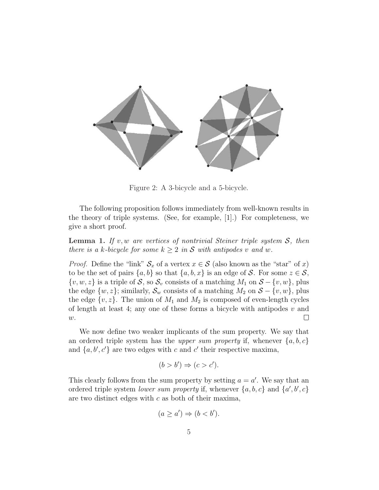

Figure 2: A 3-bicycle and a 5-bicycle.

The following proposition follows immediately from well-known results in the theory of triple systems. (See, for example, [1].) For completeness, we give a short proof.

**Lemma 1.** If v, w are vertices of nontrivial Steiner triple system  $S$ , then there is a k-bicycle for some  $k > 2$  in S with antipodes v and w.

*Proof.* Define the "link"  $S_x$  of a vertex  $x \in S$  (also known as the "star" of x) to be the set of pairs  $\{a, b\}$  so that  $\{a, b, x\}$  is an edge of S. For some  $z \in S$ ,  $\{v, w, z\}$  is a triple of S, so  $\mathcal{S}_v$  consists of a matching  $M_1$  on  $\mathcal{S} - \{v, w\}$ , plus the edge  $\{w, z\}$ ; similarly,  $\mathcal{S}_w$  consists of a matching  $M_2$  on  $\mathcal{S} - \{v, w\}$ , plus the edge  $\{v, z\}$ . The union of  $M_1$  and  $M_2$  is composed of even-length cycles of length at least 4; any one of these forms a bicycle with antipodes  $v$  and  $\Box$  $\boldsymbol{w}.$ 

We now define two weaker implicants of the sum property. We say that an ordered triple system has the upper sum property if, whenever  $\{a, b, c\}$ and  $\{a, b', c'\}$  are two edges with c and c' their respective maxima,

$$
(b > b') \Rightarrow (c > c').
$$

This clearly follows from the sum property by setting  $a = a'$ . We say that an ordered triple system *lower sum property* if, whenever  $\{a, b, c\}$  and  $\{a', b', c\}$ are two distinct edges with  $c$  as both of their maxima,

$$
(a \ge a') \Rightarrow (b < b').
$$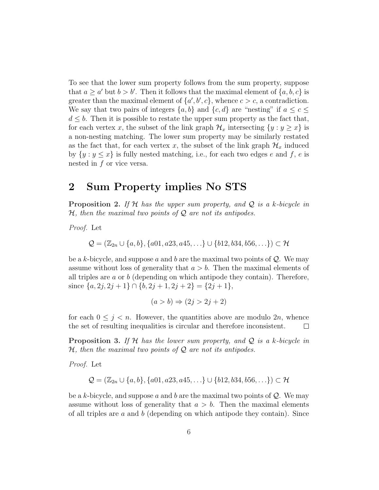To see that the lower sum property follows from the sum property, suppose that  $a \ge a'$  but  $b > b'$ . Then it follows that the maximal element of  $\{a, b, c\}$  is greater than the maximal element of  $\{a', b', c\}$ , whence  $c > c$ , a contradiction. We say that two pairs of integers  $\{a, b\}$  and  $\{c, d\}$  are "nesting" if  $a \leq c \leq$  $d \leq b$ . Then it is possible to restate the upper sum property as the fact that, for each vertex x, the subset of the link graph  $\mathcal{H}_x$  intersecting  $\{y : y \geq x\}$  is a non-nesting matching. The lower sum property may be similarly restated as the fact that, for each vertex x, the subset of the link graph  $\mathcal{H}_x$  induced by  $\{y : y \leq x\}$  is fully nested matching, i.e., for each two edges e and f, e is nested in f or vice versa.

### 2 Sum Property implies No STS

**Proposition 2.** If H has the upper sum property, and Q is a k-bicycle in  $H$ , then the maximal two points of  $Q$  are not its antipodes.

Proof. Let

$$
Q = (\mathbb{Z}_{2n} \cup \{a, b\}, \{a01, a23, a45, \ldots\} \cup \{b12, b34, b56, \ldots\}) \subset \mathcal{H}
$$

be a k-bicycle, and suppose a and b are the maximal two points of  $\mathcal{Q}$ . We may assume without loss of generality that  $a > b$ . Then the maximal elements of all triples are  $a$  or  $b$  (depending on which antipode they contain). Therefore, since  $\{a, 2j, 2j + 1\} \cap \{b, 2j + 1, 2j + 2\} = \{2j + 1\},\$ 

$$
(a > b) \Rightarrow (2j > 2j + 2)
$$

for each  $0 \leq j \leq n$ . However, the quantities above are modulo  $2n$ , whence the set of resulting inequalities is circular and therefore inconsistent.  $\Box$ 

**Proposition 3.** If H has the lower sum property, and Q is a k-bicycle in  $H$ , then the maximal two points of  $Q$  are not its antipodes.

Proof. Let

$$
\mathcal{Q} = (\mathbb{Z}_{2n} \cup \{a, b\}, \{a01, a23, a45, \ldots\} \cup \{b12, b34, b56, \ldots\}) \subset \mathcal{H}
$$

be a k-bicycle, and suppose a and b are the maximal two points of  $\mathcal{Q}$ . We may assume without loss of generality that  $a > b$ . Then the maximal elements of all triples are  $a$  and  $b$  (depending on which antipode they contain). Since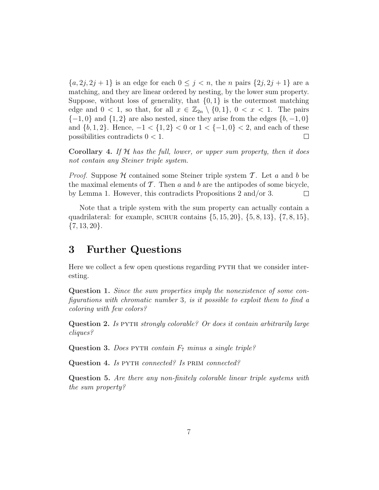${a, 2j, 2j + 1}$  is an edge for each  $0 \leq j \leq n$ , the *n* pairs  ${2j, 2j + 1}$  are a matching, and they are linear ordered by nesting, by the lower sum property. Suppose, without loss of generality, that  $\{0,1\}$  is the outermost matching edge and  $0 < 1$ , so that, for all  $x \in \mathbb{Z}_{2n} \setminus \{0,1\}$ ,  $0 < x < 1$ . The pairs  ${-1, 0}$  and  ${1, 2}$  are also nested, since they arise from the edges  ${b, -1, 0}$ and  $\{b, 1, 2\}$ . Hence,  $-1 < \{1, 2\} < 0$  or  $1 < \{-1, 0\} < 2$ , and each of these possibilities contradicts  $0 < 1$ .  $\Box$ 

Corollary 4. If  $H$  has the full, lower, or upper sum property, then it does not contain any Steiner triple system.

*Proof.* Suppose H contained some Steiner triple system T. Let a and b be the maximal elements of  $\mathcal T$ . Then a and b are the antipodes of some bicycle, by Lemma 1. However, this contradicts Propositions 2 and/or 3.  $\Box$ 

Note that a triple system with the sum property can actually contain a quadrilateral: for example, SCHUR contains  $\{5, 15, 20\}, \{5, 8, 13\}, \{7, 8, 15\},\$  $\{7, 13, 20\}.$ 

#### 3 Further Questions

Here we collect a few open questions regarding PYTH that we consider interesting.

Question 1. Since the sum properties imply the nonexistence of some configurations with chromatic number 3, is it possible to exploit them to find a coloring with few colors?

Question 2. Is pyth strongly colorable? Or does it contain arbitrarily large cliques?

Question 3. Does PYTH contain  $F_7$  minus a single triple?

Question 4. Is PYTH connected? Is PRIM connected?

Question 5. Are there any non-finitely colorable linear triple systems with the sum property?